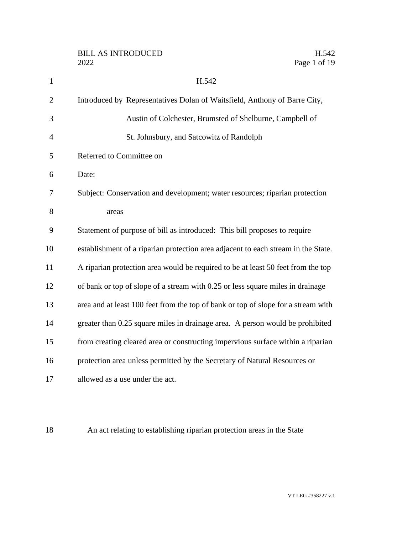| $\mathbf{1}$   | H.542                                                                             |
|----------------|-----------------------------------------------------------------------------------|
| $\overline{2}$ | Introduced by Representatives Dolan of Waitsfield, Anthony of Barre City,         |
| 3              | Austin of Colchester, Brumsted of Shelburne, Campbell of                          |
| $\overline{4}$ | St. Johnsbury, and Satcowitz of Randolph                                          |
| 5              | Referred to Committee on                                                          |
| 6              | Date:                                                                             |
| 7              | Subject: Conservation and development; water resources; riparian protection       |
| 8              | areas                                                                             |
| 9              | Statement of purpose of bill as introduced: This bill proposes to require         |
| 10             | establishment of a riparian protection area adjacent to each stream in the State. |
| 11             | A riparian protection area would be required to be at least 50 feet from the top  |
| 12             | of bank or top of slope of a stream with 0.25 or less square miles in drainage    |
| 13             | area and at least 100 feet from the top of bank or top of slope for a stream with |
| 14             | greater than 0.25 square miles in drainage area. A person would be prohibited     |
| 15             | from creating cleared area or constructing impervious surface within a riparian   |
| 16             | protection area unless permitted by the Secretary of Natural Resources or         |
| 17             | allowed as a use under the act.                                                   |

An act relating to establishing riparian protection areas in the State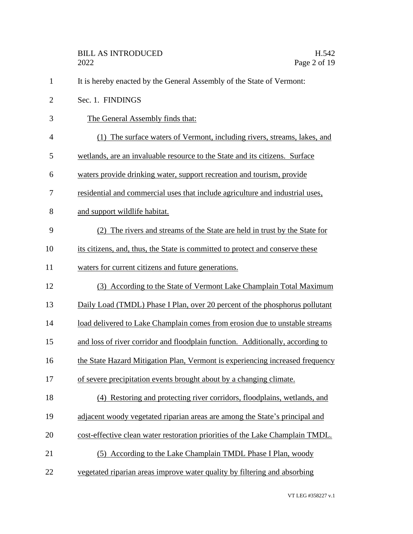|                | <b>BILL AS INTRODUCED</b><br>H.542<br>Page 2 of 19<br>2022                     |  |
|----------------|--------------------------------------------------------------------------------|--|
| $\mathbf{1}$   | It is hereby enacted by the General Assembly of the State of Vermont:          |  |
| $\overline{2}$ | Sec. 1. FINDINGS                                                               |  |
| 3              | The General Assembly finds that:                                               |  |
| 4              | (1) The surface waters of Vermont, including rivers, streams, lakes, and       |  |
| 5              | wetlands, are an invaluable resource to the State and its citizens. Surface    |  |
| 6              | waters provide drinking water, support recreation and tourism, provide         |  |
| 7              | residential and commercial uses that include agriculture and industrial uses,  |  |
| 8              | and support wildlife habitat.                                                  |  |
| 9              | (2) The rivers and streams of the State are held in trust by the State for     |  |
| 10             | its citizens, and, thus, the State is committed to protect and conserve these  |  |
| 11             | waters for current citizens and future generations.                            |  |
| 12             | (3) According to the State of Vermont Lake Champlain Total Maximum             |  |
| 13             | Daily Load (TMDL) Phase I Plan, over 20 percent of the phosphorus pollutant    |  |
| 14             | load delivered to Lake Champlain comes from erosion due to unstable streams    |  |
| 15             | and loss of river corridor and floodplain function. Additionally, according to |  |
| 16             | the State Hazard Mitigation Plan, Vermont is experiencing increased frequency  |  |
| 17             | of severe precipitation events brought about by a changing climate.            |  |
| 18             | (4) Restoring and protecting river corridors, floodplains, wetlands, and       |  |
| 19             | adjacent woody vegetated riparian areas are among the State's principal and    |  |
| 20             | cost-effective clean water restoration priorities of the Lake Champlain TMDL.  |  |
| 21             | (5) According to the Lake Champlain TMDL Phase I Plan, woody                   |  |
| 22             | vegetated riparian areas improve water quality by filtering and absorbing      |  |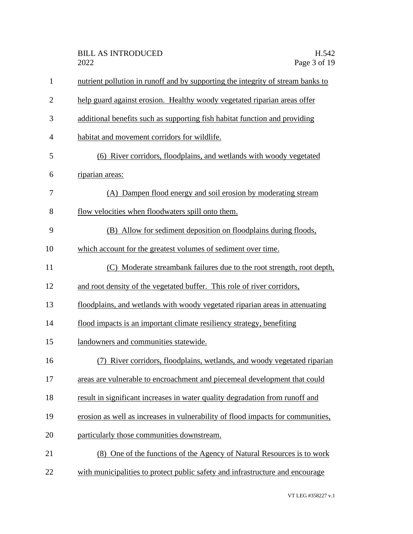| $\mathbf{1}$   | nutrient pollution in runoff and by supporting the integrity of stream banks to |
|----------------|---------------------------------------------------------------------------------|
| $\overline{2}$ | help guard against erosion. Healthy woody vegetated riparian areas offer        |
| 3              | additional benefits such as supporting fish habitat function and providing      |
| $\overline{4}$ | habitat and movement corridors for wildlife.                                    |
| 5              | (6) River corridors, floodplains, and wetlands with woody vegetated             |
| 6              | riparian areas:                                                                 |
| 7              | (A) Dampen flood energy and soil erosion by moderating stream                   |
| 8              | flow velocities when floodwaters spill onto them.                               |
| 9              | (B) Allow for sediment deposition on floodplains during floods,                 |
| 10             | which account for the greatest volumes of sediment over time.                   |
| 11             | (C) Moderate streambank failures due to the root strength, root depth,          |
| 12             | and root density of the vegetated buffer. This role of river corridors,         |
| 13             | floodplains, and wetlands with woody vegetated riparian areas in attenuating    |
| 14             | flood impacts is an important climate resiliency strategy, benefiting           |
| 15             | landowners and communities statewide.                                           |
| 16             | River corridors, floodplains, wetlands, and woody vegetated riparian            |
| 17             | areas are vulnerable to encroachment and piecemeal development that could       |
| 18             | result in significant increases in water quality degradation from runoff and    |
| 19             | erosion as well as increases in vulnerability of flood impacts for communities, |
| 20             | particularly those communities downstream.                                      |
| 21             | (8) One of the functions of the Agency of Natural Resources is to work          |
| 22             | with municipalities to protect public safety and infrastructure and encourage   |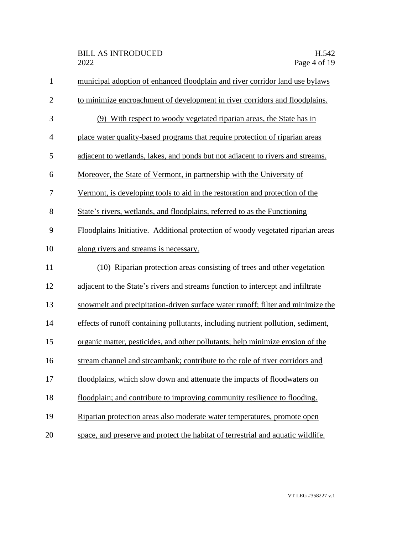| $\mathbf{1}$   | municipal adoption of enhanced floodplain and river corridor land use bylaws     |
|----------------|----------------------------------------------------------------------------------|
| $\overline{2}$ | to minimize encroachment of development in river corridors and floodplains.      |
| 3              | (9) With respect to woody vegetated riparian areas, the State has in             |
| 4              | place water quality-based programs that require protection of riparian areas     |
| 5              | adjacent to wetlands, lakes, and ponds but not adjacent to rivers and streams.   |
| 6              | Moreover, the State of Vermont, in partnership with the University of            |
| 7              | Vermont, is developing tools to aid in the restoration and protection of the     |
| 8              | State's rivers, wetlands, and floodplains, referred to as the Functioning        |
| 9              | Floodplains Initiative. Additional protection of woody vegetated riparian areas  |
| 10             | along rivers and streams is necessary.                                           |
| 11             | (10) Riparian protection areas consisting of trees and other vegetation          |
| 12             | adjacent to the State's rivers and streams function to intercept and infiltrate  |
| 13             | snowmelt and precipitation-driven surface water runoff; filter and minimize the  |
| 14             | effects of runoff containing pollutants, including nutrient pollution, sediment, |
| 15             | organic matter, pesticides, and other pollutants; help minimize erosion of the   |
| 16             | stream channel and streambank; contribute to the role of river corridors and     |
| 17             | floodplains, which slow down and attenuate the impacts of floodwaters on         |
| 18             | floodplain; and contribute to improving community resilience to flooding.        |
| 19             | Riparian protection areas also moderate water temperatures, promote open         |
| 20             | space, and preserve and protect the habitat of terrestrial and aquatic wildlife. |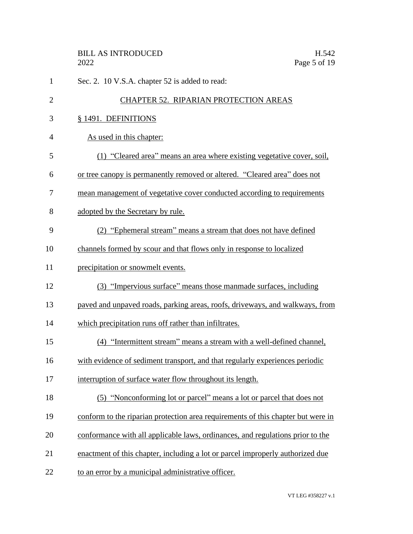| $\mathbf{1}$   | Sec. 2. 10 V.S.A. chapter 52 is added to read:                                   |
|----------------|----------------------------------------------------------------------------------|
| $\overline{2}$ | CHAPTER 52. RIPARIAN PROTECTION AREAS                                            |
| 3              | § 1491. DEFINITIONS                                                              |
| 4              | As used in this chapter:                                                         |
| 5              | (1) "Cleared area" means an area where existing vegetative cover, soil,          |
| 6              | or tree canopy is permanently removed or altered. "Cleared area" does not        |
| 7              | mean management of vegetative cover conducted according to requirements          |
| 8              | adopted by the Secretary by rule.                                                |
| 9              | (2) "Ephemeral stream" means a stream that does not have defined                 |
| 10             | channels formed by scour and that flows only in response to localized            |
| 11             | precipitation or snowmelt events.                                                |
| 12             | (3) "Impervious surface" means those manmade surfaces, including                 |
| 13             | paved and unpaved roads, parking areas, roofs, driveways, and walkways, from     |
| 14             | which precipitation runs off rather than infiltrates.                            |
| 15             | (4) "Intermittent stream" means a stream with a well-defined channel,            |
| 16             | with evidence of sediment transport, and that regularly experiences periodic     |
| 17             | interruption of surface water flow throughout its length.                        |
| 18             | (5) "Nonconforming lot or parcel" means a lot or parcel that does not            |
| 19             | conform to the riparian protection area requirements of this chapter but were in |
| 20             | conformance with all applicable laws, ordinances, and regulations prior to the   |
| 21             | enactment of this chapter, including a lot or parcel improperly authorized due   |
| 22             | to an error by a municipal administrative officer.                               |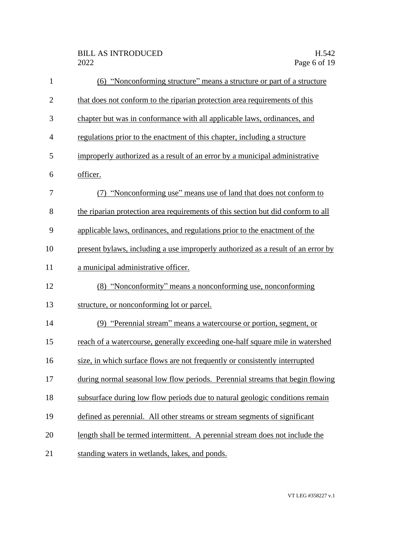| $\mathbf{1}$   | (6) "Nonconforming structure" means a structure or part of a structure            |
|----------------|-----------------------------------------------------------------------------------|
| $\overline{c}$ | that does not conform to the riparian protection area requirements of this        |
| 3              | chapter but was in conformance with all applicable laws, ordinances, and          |
| $\overline{4}$ | regulations prior to the enactment of this chapter, including a structure         |
| 5              | improperly authorized as a result of an error by a municipal administrative       |
| 6              | officer.                                                                          |
| 7              | (7) "Nonconforming use" means use of land that does not conform to                |
| 8              | the riparian protection area requirements of this section but did conform to all  |
| 9              | applicable laws, ordinances, and regulations prior to the enactment of the        |
| 10             | present by laws, including a use improperly authorized as a result of an error by |
| 11             | a municipal administrative officer.                                               |
| 12             | (8) "Nonconformity" means a nonconforming use, nonconforming                      |
| 13             | structure, or nonconforming lot or parcel.                                        |
| 14             | (9) "Perennial stream" means a watercourse or portion, segment, or                |
| 15             | reach of a watercourse, generally exceeding one-half square mile in watershed     |
| 16             | size, in which surface flows are not frequently or consistently interrupted       |
| 17             | during normal seasonal low flow periods. Perennial streams that begin flowing     |
| 18             | subsurface during low flow periods due to natural geologic conditions remain      |
| 19             | defined as perennial. All other streams or stream segments of significant         |
| 20             | length shall be termed intermittent. A perennial stream does not include the      |
| 21             | standing waters in wetlands, lakes, and ponds.                                    |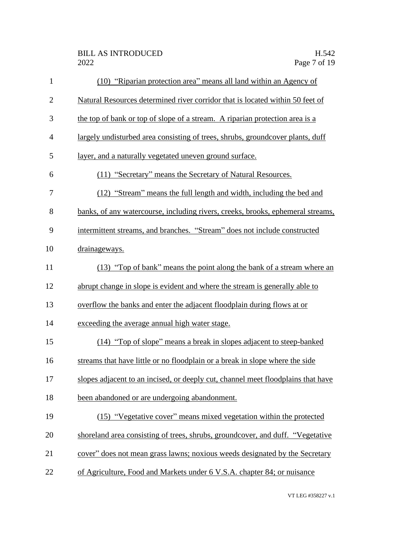| $\mathbf{1}$   | (10) "Riparian protection area" means all land within an Agency of               |
|----------------|----------------------------------------------------------------------------------|
| $\overline{2}$ | Natural Resources determined river corridor that is located within 50 feet of    |
| 3              | the top of bank or top of slope of a stream. A riparian protection area is a     |
| $\overline{4}$ | largely undisturbed area consisting of trees, shrubs, groundcover plants, duff   |
| 5              | <u>layer, and a naturally vegetated uneven ground surface.</u>                   |
| 6              | (11) "Secretary" means the Secretary of Natural Resources.                       |
| 7              | (12) "Stream" means the full length and width, including the bed and             |
| 8              | banks, of any watercourse, including rivers, creeks, brooks, ephemeral streams,  |
| 9              | intermittent streams, and branches. "Stream" does not include constructed        |
| 10             | drainageways.                                                                    |
| 11             | (13) "Top of bank" means the point along the bank of a stream where an           |
| 12             | abrupt change in slope is evident and where the stream is generally able to      |
| 13             | overflow the banks and enter the adjacent floodplain during flows at or          |
| 14             | exceeding the average annual high water stage.                                   |
| 15             | (14) "Top of slope" means a break in slopes adjacent to steep-banked             |
| 16             | streams that have little or no floodplain or a break in slope where the side     |
| 17             | slopes adjacent to an incised, or deeply cut, channel meet floodplains that have |
| 18             | been abandoned or are undergoing abandonment.                                    |
| 19             | (15) "Vegetative cover" means mixed vegetation within the protected              |
| 20             | shoreland area consisting of trees, shrubs, groundcover, and duff. "Vegetative   |
| 21             | cover" does not mean grass lawns; noxious weeds designated by the Secretary      |
| 22             | of Agriculture, Food and Markets under 6 V.S.A. chapter 84; or nuisance          |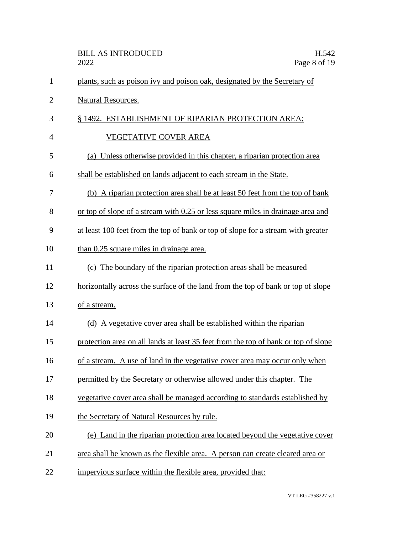|                | <b>BILL AS INTRODUCED</b><br>H.542<br>Page 8 of 19<br>2022                         |
|----------------|------------------------------------------------------------------------------------|
| 1              | plants, such as poison ivy and poison oak, designated by the Secretary of          |
| $\overline{2}$ | Natural Resources.                                                                 |
| 3              | § 1492. ESTABLISHMENT OF RIPARIAN PROTECTION AREA;                                 |
| 4              | <b>VEGETATIVE COVER AREA</b>                                                       |
| 5              | (a) Unless otherwise provided in this chapter, a riparian protection area          |
| 6              | shall be established on lands adjacent to each stream in the State.                |
| 7              | (b) A riparian protection area shall be at least 50 feet from the top of bank      |
| 8              | or top of slope of a stream with 0.25 or less square miles in drainage area and    |
| 9              | at least 100 feet from the top of bank or top of slope for a stream with greater   |
| 10             | than 0.25 square miles in drainage area.                                           |
| 11             | (c) The boundary of the riparian protection areas shall be measured                |
| 12             | horizontally across the surface of the land from the top of bank or top of slope   |
| 13             | of a stream.                                                                       |
| 14             | (d) A vegetative cover area shall be established within the riparian               |
| 15             | protection area on all lands at least 35 feet from the top of bank or top of slope |
| 16             | of a stream. A use of land in the vegetative cover area may occur only when        |
| 17             | permitted by the Secretary or otherwise allowed under this chapter. The            |
| 18             | vegetative cover area shall be managed according to standards established by       |
| 19             | the Secretary of Natural Resources by rule.                                        |
| 20             | (e) Land in the riparian protection area located beyond the vegetative cover       |
| 21             | area shall be known as the flexible area. A person can create cleared area or      |
| 22             | impervious surface within the flexible area, provided that:                        |

VT LEG #358227 v.1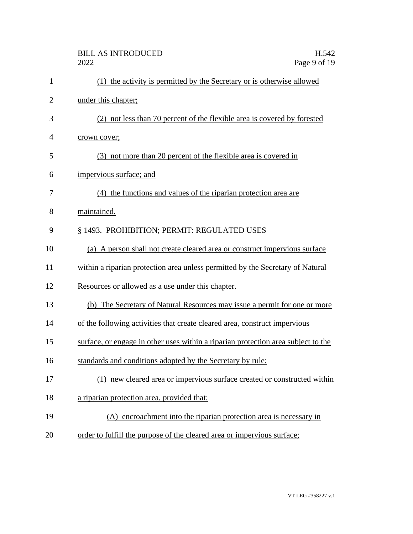|                | <b>BILL AS INTRODUCED</b><br>H.542<br>Page 9 of 19<br>2022                        |
|----------------|-----------------------------------------------------------------------------------|
| 1              | (1) the activity is permitted by the Secretary or is otherwise allowed            |
| $\overline{2}$ | under this chapter;                                                               |
| 3              | (2) not less than 70 percent of the flexible area is covered by forested          |
| 4              | crown cover;                                                                      |
| 5              | (3) not more than 20 percent of the flexible area is covered in                   |
| 6              | impervious surface; and                                                           |
| 7              | (4) the functions and values of the riparian protection area are                  |
| 8              | maintained.                                                                       |
| 9              | § 1493. PROHIBITION; PERMIT: REGULATED USES                                       |
| 10             | (a) A person shall not create cleared area or construct impervious surface        |
| 11             | within a riparian protection area unless permitted by the Secretary of Natural    |
| 12             | Resources or allowed as a use under this chapter.                                 |
| 13             | (b) The Secretary of Natural Resources may issue a permit for one or more         |
| 14             | of the following activities that create cleared area, construct impervious        |
| 15             | surface, or engage in other uses within a riparian protection area subject to the |
| 16             | standards and conditions adopted by the Secretary by rule:                        |
| 17             | (1) new cleared area or impervious surface created or constructed within          |
| 18             | a riparian protection area, provided that:                                        |
| 19             | (A) encroachment into the riparian protection area is necessary in                |
| 20             | order to fulfill the purpose of the cleared area or impervious surface;           |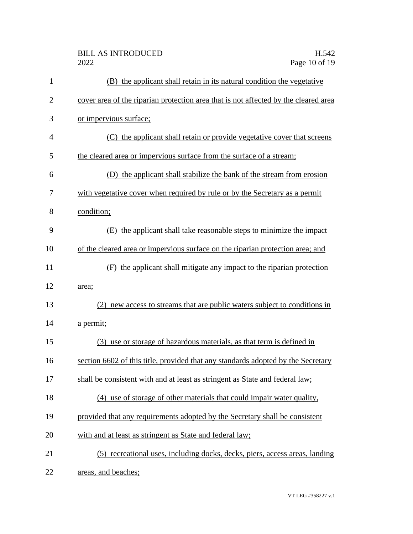| $\mathbf{1}$   | (B) the applicant shall retain in its natural condition the vegetative              |
|----------------|-------------------------------------------------------------------------------------|
| $\overline{2}$ | cover area of the riparian protection area that is not affected by the cleared area |
| 3              | or impervious surface;                                                              |
| 4              | (C) the applicant shall retain or provide vegetative cover that screens             |
| 5              | the cleared area or impervious surface from the surface of a stream;                |
| 6              | (D) the applicant shall stabilize the bank of the stream from erosion               |
| 7              | with vegetative cover when required by rule or by the Secretary as a permit         |
| 8              | condition;                                                                          |
| 9              | (E) the applicant shall take reasonable steps to minimize the impact                |
| 10             | of the cleared area or impervious surface on the riparian protection area; and      |
| 11             | (F) the applicant shall mitigate any impact to the riparian protection              |
| 12             | area;                                                                               |
| 13             | new access to streams that are public waters subject to conditions in               |
| 14             | a permit;                                                                           |
| 15             | (3) use or storage of hazardous materials, as that term is defined in               |
| 16             | section 6602 of this title, provided that any standards adopted by the Secretary    |
| 17             | shall be consistent with and at least as stringent as State and federal law;        |
| 18             | (4) use of storage of other materials that could impair water quality,              |
| 19             | provided that any requirements adopted by the Secretary shall be consistent         |
| 20             | with and at least as stringent as State and federal law;                            |
| 21             | (5) recreational uses, including docks, decks, piers, access areas, landing         |
| 22             | areas, and beaches;                                                                 |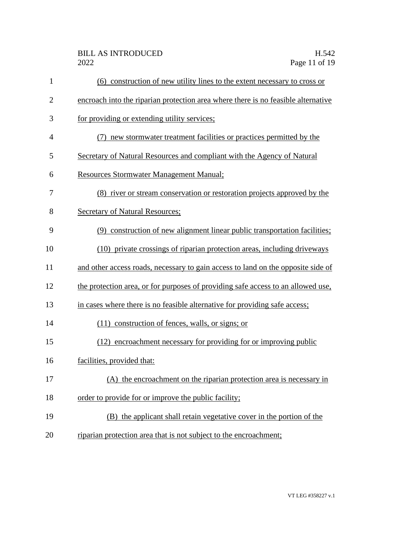| $\mathbf{1}$   | (6) construction of new utility lines to the extent necessary to cross or         |
|----------------|-----------------------------------------------------------------------------------|
| $\overline{2}$ | encroach into the riparian protection area where there is no feasible alternative |
| 3              | for providing or extending utility services;                                      |
| 4              | (7) new stormwater treatment facilities or practices permitted by the             |
| 5              | Secretary of Natural Resources and compliant with the Agency of Natural           |
| 6              | <b>Resources Stormwater Management Manual;</b>                                    |
| 7              | (8) river or stream conservation or restoration projects approved by the          |
| 8              | Secretary of Natural Resources;                                                   |
| 9              | (9) construction of new alignment linear public transportation facilities;        |
| 10             | (10) private crossings of riparian protection areas, including driveways          |
| 11             | and other access roads, necessary to gain access to land on the opposite side of  |
| 12             | the protection area, or for purposes of providing safe access to an allowed use,  |
| 13             | in cases where there is no feasible alternative for providing safe access;        |
| 14             | (11) construction of fences, walls, or signs; or                                  |
| 15             | (12) encroachment necessary for providing for or improving public                 |
| 16             | facilities, provided that:                                                        |
| 17             | (A) the encroachment on the riparian protection area is necessary in              |
| 18             | order to provide for or improve the public facility;                              |
| 19             | (B) the applicant shall retain vegetative cover in the portion of the             |
| 20             | riparian protection area that is not subject to the encroachment;                 |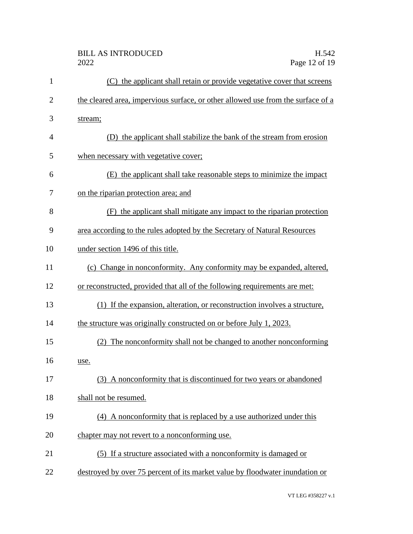| (C) the applicant shall retain or provide vegetative cover that screens          |
|----------------------------------------------------------------------------------|
| the cleared area, impervious surface, or other allowed use from the surface of a |
| stream;                                                                          |
| (D) the applicant shall stabilize the bank of the stream from erosion            |
| when necessary with vegetative cover;                                            |
| (E) the applicant shall take reasonable steps to minimize the impact             |
| on the riparian protection area; and                                             |
| the applicant shall mitigate any impact to the riparian protection<br>(F)        |
| area according to the rules adopted by the Secretary of Natural Resources        |
| under section 1496 of this title.                                                |
| (c) Change in nonconformity. Any conformity may be expanded, altered,            |
| or reconstructed, provided that all of the following requirements are met:       |
| (1) If the expansion, alteration, or reconstruction involves a structure,        |
| the structure was originally constructed on or before July 1, 2023.              |
| (2) The nonconformity shall not be changed to another nonconforming              |
| use.                                                                             |
| (3) A nonconformity that is discontinued for two years or abandoned              |
| shall not be resumed.                                                            |
| (4) A nonconformity that is replaced by a use authorized under this              |
| chapter may not revert to a nonconforming use.                                   |
| (5) If a structure associated with a nonconformity is damaged or                 |
| destroyed by over 75 percent of its market value by floodwater inundation or     |
|                                                                                  |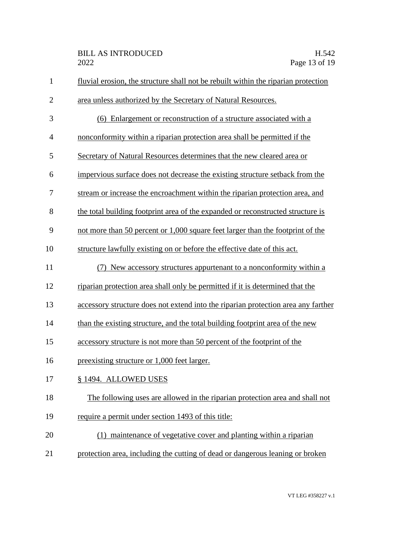| $\mathbf{1}$   | fluvial erosion, the structure shall not be rebuilt within the riparian protection |  |  |  |
|----------------|------------------------------------------------------------------------------------|--|--|--|
| $\overline{2}$ | area unless authorized by the Secretary of Natural Resources.                      |  |  |  |
| 3              | (6) Enlargement or reconstruction of a structure associated with a                 |  |  |  |
| 4              | nonconformity within a riparian protection area shall be permitted if the          |  |  |  |
| 5              | Secretary of Natural Resources determines that the new cleared area or             |  |  |  |
| 6              | impervious surface does not decrease the existing structure setback from the       |  |  |  |
| 7              | stream or increase the encroachment within the riparian protection area, and       |  |  |  |
| 8              | the total building footprint area of the expanded or reconstructed structure is    |  |  |  |
| 9              | not more than 50 percent or 1,000 square feet larger than the footprint of the     |  |  |  |
| 10             | structure lawfully existing on or before the effective date of this act.           |  |  |  |
| 11             | New accessory structures appurtenant to a nonconformity within a                   |  |  |  |
| 12             | riparian protection area shall only be permitted if it is determined that the      |  |  |  |
| 13             | accessory structure does not extend into the riparian protection area any farther  |  |  |  |
| 14             | than the existing structure, and the total building footprint area of the new      |  |  |  |
| 15             | accessory structure is not more than 50 percent of the footprint of the            |  |  |  |
| 16             | preexisting structure or 1,000 feet larger.                                        |  |  |  |
| 17             | § 1494. ALLOWED USES                                                               |  |  |  |
| 18             | The following uses are allowed in the riparian protection area and shall not       |  |  |  |
| 19             | require a permit under section 1493 of this title:                                 |  |  |  |
| 20             | (1) maintenance of vegetative cover and planting within a riparian                 |  |  |  |
| 21             | protection area, including the cutting of dead or dangerous leaning or broken      |  |  |  |
|                |                                                                                    |  |  |  |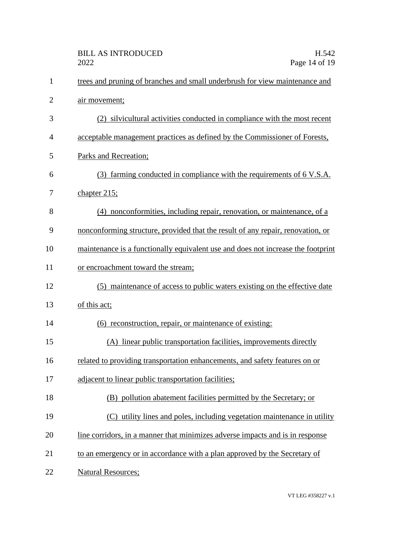| $\mathbf{1}$   | trees and pruning of branches and small underbrush for view maintenance and      |  |  |  |
|----------------|----------------------------------------------------------------------------------|--|--|--|
| $\overline{2}$ | <u>air movement;</u>                                                             |  |  |  |
| 3              | (2) silvicultural activities conducted in compliance with the most recent        |  |  |  |
| 4              | acceptable management practices as defined by the Commissioner of Forests,       |  |  |  |
| 5              | Parks and Recreation;                                                            |  |  |  |
| 6              | (3) farming conducted in compliance with the requirements of 6 V.S.A.            |  |  |  |
| 7              | chapter 215;                                                                     |  |  |  |
| 8              | (4) nonconformities, including repair, renovation, or maintenance, of a          |  |  |  |
| 9              | nonconforming structure, provided that the result of any repair, renovation, or  |  |  |  |
| 10             | maintenance is a functionally equivalent use and does not increase the footprint |  |  |  |
| 11             | or encroachment toward the stream;                                               |  |  |  |
| 12             | (5) maintenance of access to public waters existing on the effective date        |  |  |  |
| 13             | of this act;                                                                     |  |  |  |
| 14             | (6) reconstruction, repair, or maintenance of existing:                          |  |  |  |
| 15             | (A) linear public transportation facilities, improvements directly               |  |  |  |
| 16             | related to providing transportation enhancements, and safety features on or      |  |  |  |
| 17             | adjacent to linear public transportation facilities;                             |  |  |  |
| 18             | (B) pollution abatement facilities permitted by the Secretary; or                |  |  |  |
| 19             | (C) utility lines and poles, including vegetation maintenance in utility         |  |  |  |
| 20             | line corridors, in a manner that minimizes adverse impacts and is in response    |  |  |  |
| 21             | to an emergency or in accordance with a plan approved by the Secretary of        |  |  |  |
| 22             | <b>Natural Resources;</b>                                                        |  |  |  |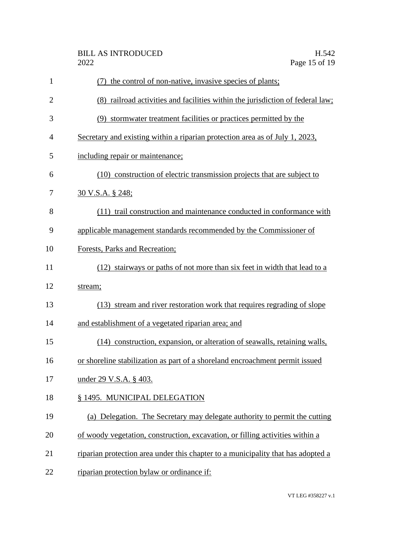| $\mathbf{1}$   | the control of non-native, invasive species of plants;<br>(7)                    |  |
|----------------|----------------------------------------------------------------------------------|--|
| $\overline{2}$ | (8) railroad activities and facilities within the jurisdiction of federal law;   |  |
| 3              | (9) stormwater treatment facilities or practices permitted by the                |  |
| 4              | Secretary and existing within a riparian protection area as of July 1, 2023,     |  |
| 5              | including repair or maintenance;                                                 |  |
| 6              | (10) construction of electric transmission projects that are subject to          |  |
| 7              | 30 V.S.A. § 248;                                                                 |  |
| 8              | (11) trail construction and maintenance conducted in conformance with            |  |
| 9              | applicable management standards recommended by the Commissioner of               |  |
| 10             | Forests, Parks and Recreation;                                                   |  |
| 11             | (12) stairways or paths of not more than six feet in width that lead to a        |  |
| 12             | stream;                                                                          |  |
| 13             | (13) stream and river restoration work that requires regrading of slope          |  |
| 14             | and establishment of a vegetated riparian area; and                              |  |
| 15             | (14) construction, expansion, or alteration of seawalls, retaining walls,        |  |
| 16             | or shoreline stabilization as part of a shoreland encroachment permit issued     |  |
| 17             | under 29 V.S.A. § 403.                                                           |  |
| 18             | § 1495. MUNICIPAL DELEGATION                                                     |  |
| 19             | (a) Delegation. The Secretary may delegate authority to permit the cutting       |  |
| 20             | of woody vegetation, construction, excavation, or filling activities within a    |  |
| 21             | riparian protection area under this chapter to a municipality that has adopted a |  |
| 22             | riparian protection bylaw or ordinance if:                                       |  |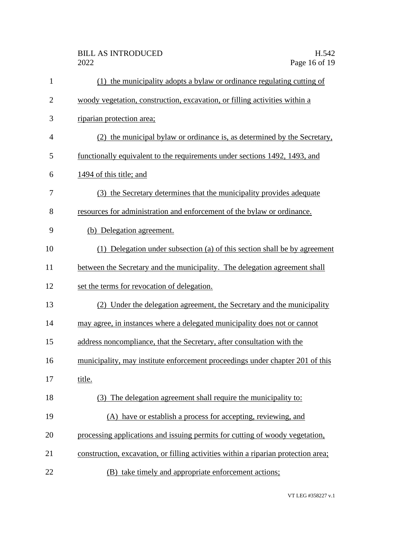| $\mathbf{1}$   | (1) the municipality adopts a bylaw or ordinance regulating cutting of             |  |  |
|----------------|------------------------------------------------------------------------------------|--|--|
| $\overline{2}$ | woody vegetation, construction, excavation, or filling activities within a         |  |  |
| 3              | riparian protection area;                                                          |  |  |
| 4              | (2) the municipal bylaw or ordinance is, as determined by the Secretary,           |  |  |
| 5              | functionally equivalent to the requirements under sections 1492, 1493, and         |  |  |
| 6              | 1494 of this title; and                                                            |  |  |
| 7              | (3) the Secretary determines that the municipality provides adequate               |  |  |
| 8              | resources for administration and enforcement of the bylaw or ordinance.            |  |  |
| 9              | (b) Delegation agreement.                                                          |  |  |
| 10             | (1) Delegation under subsection (a) of this section shall be by agreement          |  |  |
| 11             | between the Secretary and the municipality. The delegation agreement shall         |  |  |
| 12             | set the terms for revocation of delegation.                                        |  |  |
| 13             | (2) Under the delegation agreement, the Secretary and the municipality             |  |  |
| 14             | may agree, in instances where a delegated municipality does not or cannot          |  |  |
| 15             | address noncompliance, that the Secretary, after consultation with the             |  |  |
| 16             | municipality, may institute enforcement proceedings under chapter 201 of this      |  |  |
| 17             | title.                                                                             |  |  |
| 18             | (3) The delegation agreement shall require the municipality to:                    |  |  |
| 19             | (A) have or establish a process for accepting, reviewing, and                      |  |  |
| 20             | processing applications and issuing permits for cutting of woody vegetation,       |  |  |
| 21             | construction, excavation, or filling activities within a riparian protection area; |  |  |
| 22             | (B) take timely and appropriate enforcement actions;                               |  |  |

VT LEG #358227 v.1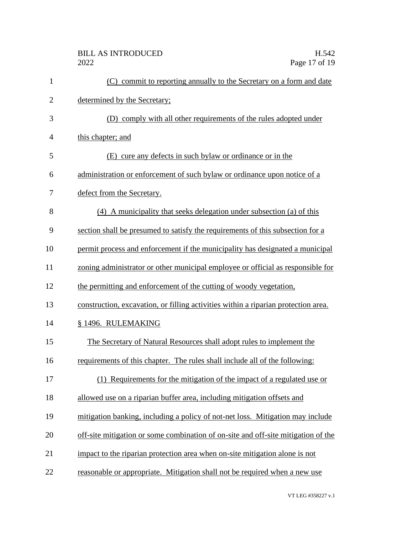| $\mathbf{1}$   | (C) commit to reporting annually to the Secretary on a form and date               |  |  |  |
|----------------|------------------------------------------------------------------------------------|--|--|--|
| $\overline{2}$ | determined by the Secretary;                                                       |  |  |  |
| 3              | (D) comply with all other requirements of the rules adopted under                  |  |  |  |
| $\overline{4}$ | this chapter; and                                                                  |  |  |  |
| 5              | (E) cure any defects in such by law or ordinance or in the                         |  |  |  |
| 6              | administration or enforcement of such bylaw or ordinance upon notice of a          |  |  |  |
| 7              | defect from the Secretary.                                                         |  |  |  |
| 8              | (4) A municipality that seeks delegation under subsection (a) of this              |  |  |  |
| 9              | section shall be presumed to satisfy the requirements of this subsection for a     |  |  |  |
| 10             | permit process and enforcement if the municipality has designated a municipal      |  |  |  |
| 11             | zoning administrator or other municipal employee or official as responsible for    |  |  |  |
| 12             | the permitting and enforcement of the cutting of woody vegetation,                 |  |  |  |
| 13             | construction, excavation, or filling activities within a riparian protection area. |  |  |  |
| 14             | § 1496. RULEMAKING                                                                 |  |  |  |
| 15             | The Secretary of Natural Resources shall adopt rules to implement the              |  |  |  |
| 16             | requirements of this chapter. The rules shall include all of the following:        |  |  |  |
| 17             | (1) Requirements for the mitigation of the impact of a regulated use or            |  |  |  |
| 18             | allowed use on a riparian buffer area, including mitigation offsets and            |  |  |  |
| 19             | mitigation banking, including a policy of not-net loss. Mitigation may include     |  |  |  |
| 20             | off-site mitigation or some combination of on-site and off-site mitigation of the  |  |  |  |
| 21             | impact to the riparian protection area when on-site mitigation alone is not        |  |  |  |
| 22             | reasonable or appropriate. Mitigation shall not be required when a new use         |  |  |  |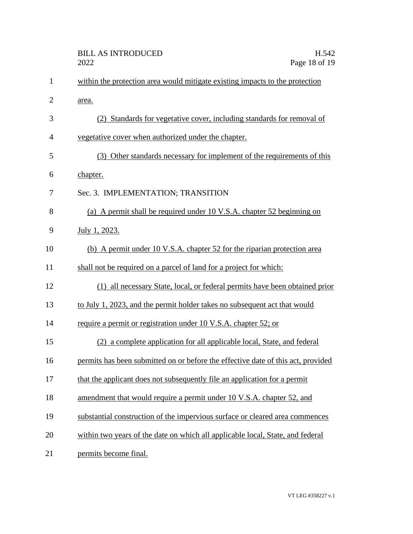|                | <b>BILL AS INTRODUCED</b><br>2022                                                | H.542<br>Page 18 of 19 |
|----------------|----------------------------------------------------------------------------------|------------------------|
| $\mathbf{1}$   | within the protection area would mitigate existing impacts to the protection     |                        |
| $\overline{2}$ | area.                                                                            |                        |
| 3              | (2) Standards for vegetative cover, including standards for removal of           |                        |
| $\overline{4}$ | vegetative cover when authorized under the chapter.                              |                        |
| 5              | (3) Other standards necessary for implement of the requirements of this          |                        |
| 6              | chapter.                                                                         |                        |
| 7              | Sec. 3. IMPLEMENTATION; TRANSITION                                               |                        |
| 8              | (a) A permit shall be required under 10 V.S.A. chapter 52 beginning on           |                        |
| 9              | July 1, 2023.                                                                    |                        |
| 10             | (b) A permit under 10 V.S.A. chapter 52 for the riparian protection area         |                        |
| 11             | shall not be required on a parcel of land for a project for which:               |                        |
| 12             | (1) all necessary State, local, or federal permits have been obtained prior      |                        |
| 13             | to July 1, 2023, and the permit holder takes no subsequent act that would        |                        |
| 14             | require a permit or registration under 10 V.S.A. chapter 52; or                  |                        |
| 15             | (2) a complete application for all applicable local, State, and federal          |                        |
| 16             | permits has been submitted on or before the effective date of this act, provided |                        |
| 17             | that the applicant does not subsequently file an application for a permit        |                        |
| 18             | amendment that would require a permit under 10 V.S.A. chapter 52, and            |                        |
| 19             | substantial construction of the impervious surface or cleared area commences     |                        |
| 20             | within two years of the date on which all applicable local, State, and federal   |                        |
| 21             | permits become final.                                                            |                        |